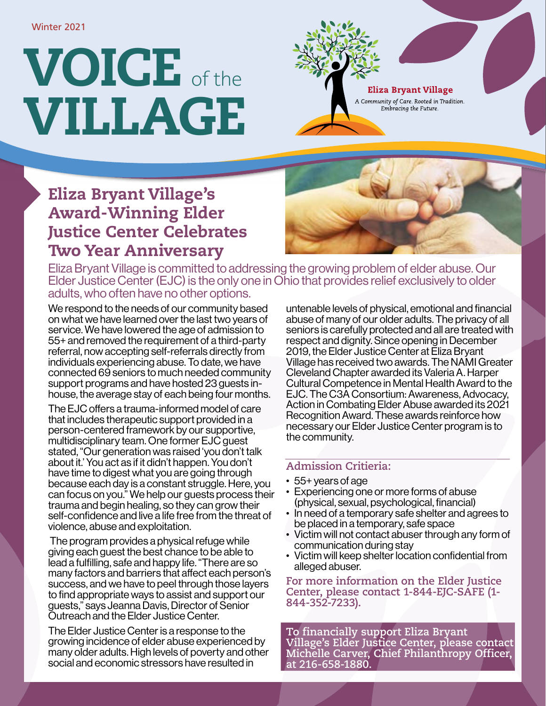# VOICE of the VILLAGE



**Eliza Bryant Village** 

A Community of Care. Rooted in Tradition. Embracing the Future.

## Eliza Bryant Village's Award-Winning Elder Justice Center Celebrates Two Year Anniversary



Eliza Bryant Village is committed to addressing the growing problem of elder abuse. Our Elder Justice Center (EJC) is the only one in Ohio that provides relief exclusively to older adults, who often have no other options.

We respond to the needs of our community based on what we have learned over the last two years of service. We have lowered the age of admission to 55+ and removed the requirement of a third-party referral, now accepting self-referrals directly from individuals experiencing abuse. To date, we have connected 69 seniors to much needed community support programs and have hosted 23 guests inhouse, the average stay of each being four months.

The EJC offers a trauma-informed model of care that includes therapeutic support provided in a person-centered framework by our supportive, multidisciplinary team. One former EJC guest stated, "Our generation was raised 'you don't talk about it.' You act as if it didn't happen. You don't have time to digest what you are going through because each day is a constant struggle. Here, you can focus on you." We help our guests process their trauma and begin healing, so they can grow their self-confidence and live a life free from the threat of violence, abuse and exploitation.

 The program provides a physical refuge while giving each guest the best chance to be able to lead a fulfilling, safe and happy life. "There are so many factors and barriers that affect each person's success, and we have to peel through those layers to find appropriate ways to assist and support our guests," says Jeanna Davis, Director of Senior Outreach and the Elder Justice Center.

The Elder Justice Center is a response to the growing incidence of elder abuse experienced by many older adults. High levels of poverty and other social and economic stressors have resulted in

untenable levels of physical, emotional and financial abuse of many of our older adults. The privacy of all seniors is carefully protected and all are treated with respect and dignity. Since opening in December 2019, the Elder Justice Center at Eliza Bryant Village has received two awards. The NAMI Greater Cleveland Chapter awarded its Valeria A. Harper Cultural Competence in Mental Health Award to the EJC. The C3A Consortium: Awareness, Advocacy, Action in Combating Elder Abuse awarded its 2021 Recognition Award. These awards reinforce how necessary our Elder Justice Center program is to the community.

### **Admission Critieria:**

- 55+ years of age
- Experiencing one or more forms of abuse (physical, sexual, psychological, financial)
- In need of a temporary safe shelter and agrees to be placed in a temporary, safe space
- Victim will not contact abuser through any form of communication during stay
- Victim will keep shelter location confidential from alleged abuser.

**For more information on the Elder Justice Center, please contact 1-844-EJC-SAFE (1- 844-352-7233).** 

**To financially support Eliza Bryant Village's Elder Justice Center, please contact Michelle Carver, Chief Philanthropy Officer, at 216-658-1880.**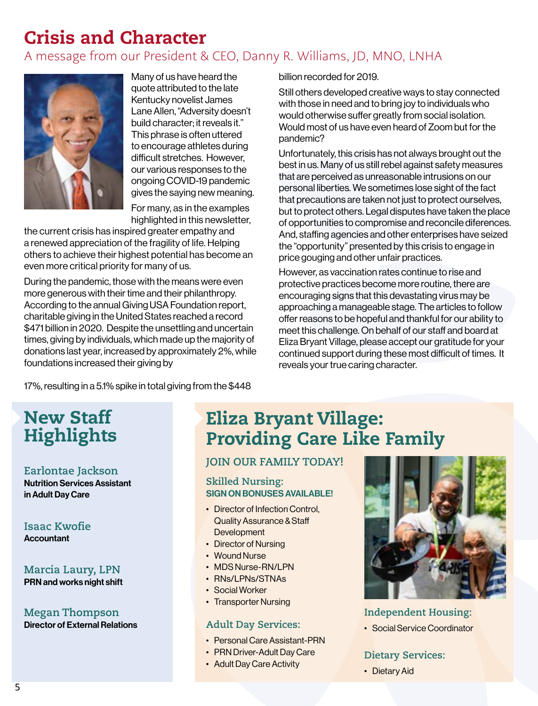# Crisis and Character

A message from our President & CEO, Danny R. Williams, JD, MNO, LNHA



Many of us have heard the quote attributed to the late Kentucky novelist James Lane Allen, "Adversity doesn't build character; it reveals it." This phrase is often uttered to encourage athletes during difficult stretches. However, our various responses to the ongoing COVID-19 pandemic gives the saying new meaning.

For many, as in the examples highlighted in this newsletter,

the current crisis has inspired greater empathy and a renewed appreciation of the fragility of life. Helping others to achieve their highest potential has become an even more critical priority for many of us.

During the pandemic, those with the means were even more generous with their time and their philanthropy. According to the annual Giving USA Foundation report, charitable giving in the United States reached a record \$471 billion in 2020. Despite the unsettling and uncertain times, giving by individuals, which made up the majority of donations last year, increased by approximately 2%, while foundations increased their giving by

billion recorded for 2019.

Still others developed creative ways to stay connected with those in need and to bring joy to individuals who would otherwise suffer greatly from social isolation. Would most of us have even heard of Zoom but for the pandemic?

Unfortunately, this crisis has not always brought out the best in us. Many of us still rebel against safety measures that are perceived as unreasonable intrusions on our personal liberties. We sometimes lose sight of the fact that precautions are taken not just to protect ourselves, but to protect others. Legal disputes have taken the place of opportunities to compromise and reconcile diferences. And, staffing agencies and other enterprises have seized the "opportunity" presented by this crisis to engage in price gouging and other unfair practices.

However, as vaccination rates continue to rise and protective practices become more routine, there are encouraging signs that this devastating virus may be approaching a manageable stage. The articles to follow offer reasons to be hopeful and thankful for our ability to meet this challenge. On behalf of our staff and board at Eliza Bryant Village, please accept our gratitude for your continued support during these most difficult of times. It reveals your true caring character.

17%, resulting in a 5.1% spike in total giving from the \$448

## New Staff Highlights

#### **Earlontae Jackson**

Nutrition Services Assistant in Adult Day Care

**Isaac Kwofie Accountant** 

**Marcia Laury, LPN**  PRN and works night shift

**Megan Thompson** Director of External Relations

## Eliza Bryant Village: Providing Care Like Family

#### **JOIN OUR FAMILY TODAY!**

#### **Skilled Nursing:**  SIGN ON BONUSES AVAILABLE!

- Director of Infection Control. Quality Assurance & Staff **Development**
- Director of Nursing
- Wound Nurse
- MDS Nurse-RN/LPN
- RNs/LPNs/STNAs
- Social Worker
- Transporter Nursing

#### **Adult Day Services:**

- Personal Care Assistant-PRN
- PRN Driver-Adult Day Care
- Adult Day Care Activity



**Independent Housing:** 

• Social Service Coordinator

#### **Dietary Services:**

• Dietary Aid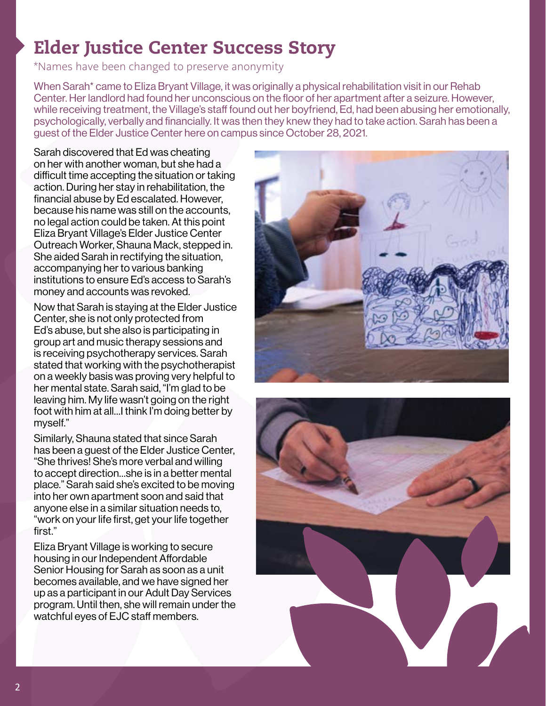## Elder Justice Center Success Story

\*Names have been changed to preserve anonymity

When Sarah\* came to Eliza Bryant Village, it was originally a physical rehabilitation visit in our Rehab Center. Her landlord had found her unconscious on the floor of her apartment after a seizure. However, while receiving treatment, the Village's staff found out her boyfriend, Ed, had been abusing her emotionally, psychologically, verbally and financially. It was then they knew they had to take action. Sarah has been a guest of the Elder Justice Center here on campus since October 28, 2021.

Sarah discovered that Ed was cheating on her with another woman, but she had a difficult time accepting the situation or taking action. During her stay in rehabilitation, the financial abuse by Ed escalated. However, because his name was still on the accounts, no legal action could be taken. At this point Eliza Bryant Village's Elder Justice Center Outreach Worker, Shauna Mack, stepped in. She aided Sarah in rectifying the situation, accompanying her to various banking institutions to ensure Ed's access to Sarah's money and accounts was revoked.

Now that Sarah is staying at the Elder Justice Center, she is not only protected from Ed's abuse, but she also is participating in group art and music therapy sessions and is receiving psychotherapy services. Sarah stated that working with the psychotherapist on a weekly basis was proving very helpful to her mental state. Sarah said, "I'm glad to be leaving him. My life wasn't going on the right foot with him at all…I think I'm doing better by myself."

Similarly, Shauna stated that since Sarah has been a guest of the Elder Justice Center, "She thrives! She's more verbal and willing to accept direction…she is in a better mental place." Sarah said she's excited to be moving into her own apartment soon and said that anyone else in a similar situation needs to, "work on your life first, get your life together first."

Eliza Bryant Village is working to secure housing in our Independent Affordable Senior Housing for Sarah as soon as a unit becomes available, and we have signed her up as a participant in our Adult Day Services program. Until then, she will remain under the watchful eyes of EJC staff members.



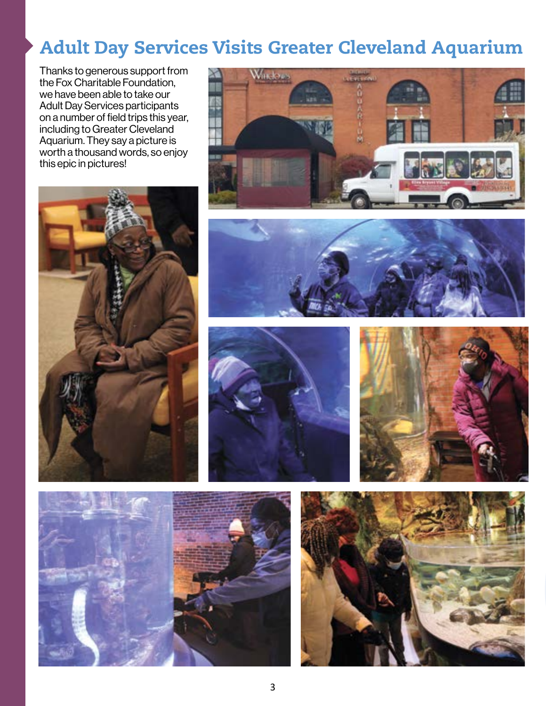## Adult Day Services Visits Greater Cleveland Aquarium

Thanks to generous support from the Fox Charitable Foundation, we have been able to take our Adult Day Services participants on a number of field trips this year, including to Greater Cleveland Aquarium. They say a picture is worth a thousand words, so enjoy this epic in pictures!













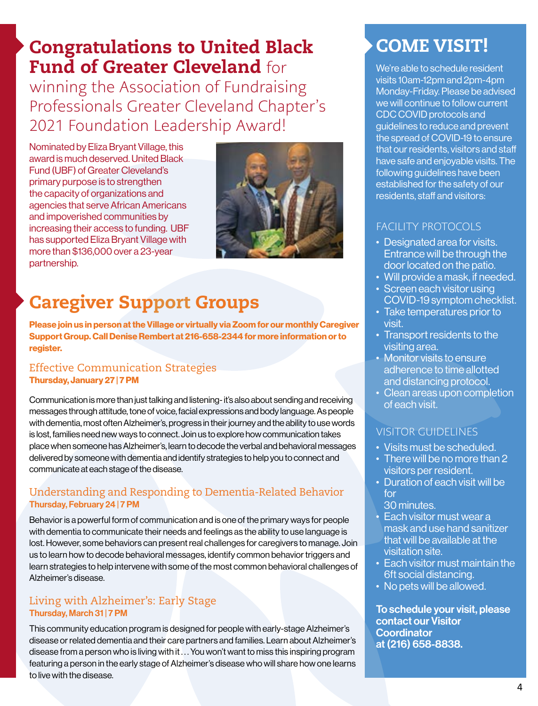## Congratulations to United Black Fund of Greater Cleveland for

winning the Association of Fundraising Professionals Greater Cleveland Chapter's 2021 Foundation Leadership Award!

Nominated by Eliza Bryant Village, this award is much deserved. United Black Fund (UBF) of Greater Cleveland's primary purpose is to strengthen the capacity of organizations and agencies that serve African Americans and impoverished communities by increasing their access to funding. UBF has supported Eliza Bryant Village with more than \$136,000 over a 23-year partnership.



# Caregiver Support Groups

**Please join us in person at the Village or virtually via Zoom for our monthly Caregiver Support Group. Call Denise Rembert at 216-658-2344 for more information or to register.**

#### Effective Communication Strategies **Thursday, January 27 | 7 PM**

Communication is more than just talking and listening- it's also about sending and receiving messages through attitude, tone of voice, facial expressions and body language. As people with dementia, most often Alzheimer's, progress in their journey and the ability to use words is lost, families need new ways to connect. Join us to explore how communication takes place when someone has Alzheimer's, learn to decode the verbal and behavioral messages delivered by someone with dementia and identify strategies to help you to connect and communicate at each stage of the disease.

#### Understanding and Responding to Dementia-Related Behavior Thursday, February 24 | 7 PM

Behavior is a powerful form of communication and is one of the primary ways for people with dementia to communicate their needs and feelings as the ability to use language is lost. However, some behaviors can present real challenges for caregivers to manage. Join us to learn how to decode behavioral messages, identify common behavior triggers and learn strategies to help intervene with some of the most common behavioral challenges of Alzheimer's disease.

#### Living with Alzheimer's: Early Stage Thursday, March 31 | 7 PM

This community education program is designed for people with early-stage Alzheimer's disease or related dementia and their care partners and families. Learn about Alzheimer's disease from a person who is living with it . . . You won't want to miss this inspiring program featuring a person in the early stage of Alzheimer's disease who will share how one learns to live with the disease.

## COME VISIT!

We're able to schedule resident visits 10am-12pm and 2pm-4pm Monday-Friday. Please be advised we will continue to follow current CDC COVID protocols and guidelines to reduce and prevent the spread of COVID-19 to ensure that our residents, visitors and staff have safe and enjoyable visits. The following guidelines have been established for the safety of our residents, staff and visitors:

#### FACILITY PROTOCOLS

- Designated area for visits. Entrance will be through the door located on the patio.
- Will provide a mask, if needed.
- Screen each visitor using COVID-19 symptom checklist.
- Take temperatures prior to visit.
- Transport residents to the visiting area.
- Monitor visits to ensure adherence to time allotted and distancing protocol.
- Clean areas upon completion of each visit.

#### VISITOR GUIDELINES

- Visits must be scheduled.
- There will be no more than 2 visitors per resident.
- Duration of each visit will be for
- 30 minutes.
- Each visitor must wear a mask and use hand sanitizer that will be available at the visitation site.
- Each visitor must maintain the 6ft social distancing.
- No pets will be allowed.

To schedule your visit, please contact our Visitor **Coordinator** at (216) 658-8838.